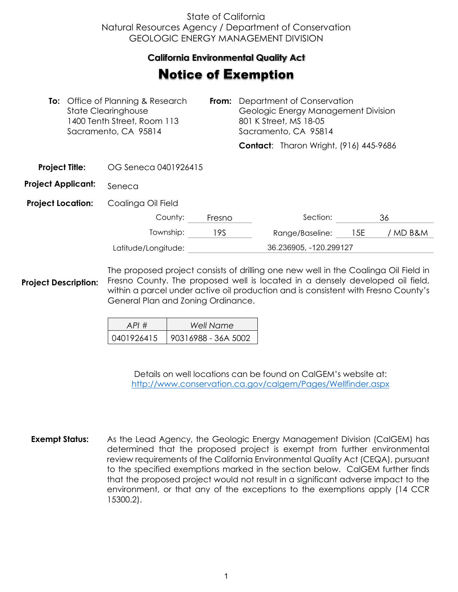## State of California Natural Resources Agency / Department of Conservation GEOLOGIC ENERGY MANAGEMENT DIVISION

## **California Environmental Quality Act**  California Environmental Quality Act

## **Notice of Exemption**

| <b>To:</b> Office of Planning & Research<br><b>State Clearinghouse</b><br>1400 Tenth Street, Room 113<br>Sacramento, CA 95814 |  | From:                | Department of Conservation<br>Geologic Energy Management Division<br>801 K Street, MS 18-05<br>Sacramento, CA 95814 |                        |                                               |     |          |
|-------------------------------------------------------------------------------------------------------------------------------|--|----------------------|---------------------------------------------------------------------------------------------------------------------|------------------------|-----------------------------------------------|-----|----------|
|                                                                                                                               |  |                      |                                                                                                                     |                        | <b>Contact:</b> Tharon Wright, (916) 445-9686 |     |          |
| <b>Project Title:</b>                                                                                                         |  | OG Seneca 0401926415 |                                                                                                                     |                        |                                               |     |          |
| <b>Project Applicant:</b>                                                                                                     |  | Seneca               |                                                                                                                     |                        |                                               |     |          |
| <b>Project Location:</b>                                                                                                      |  | Coalinga Oil Field   |                                                                                                                     |                        |                                               |     |          |
|                                                                                                                               |  | County:              | Fresno                                                                                                              |                        | Section:                                      |     | 36       |
|                                                                                                                               |  | Township:            | 19S                                                                                                                 |                        | Range/Baseline:                               | 15E | / MD B&M |
| Latitude/Longitude:                                                                                                           |  |                      |                                                                                                                     | 36.236905, -120.299127 |                                               |     |          |
|                                                                                                                               |  |                      |                                                                                                                     |                        |                                               |     |          |

**Project Description:** The proposed project consists of drilling one new well in the Coalinga Oil Field in Fresno County. The proposed well is located in a densely developed oil field, within a parcel under active oil production and is consistent with Fresno County's General Plan and Zoning Ordinance.

| API#       | Well Name           |
|------------|---------------------|
| 0401926415 | 90316988 - 36A 5002 |

Details on well locations can be found on CalGEM's website at: <http://www.conservation.ca.gov/calgem/Pages/Wellfinder.aspx>

**Exempt Status:** As the Lead Agency, the Geologic Energy Management Division (CalGEM) has determined that the proposed project is exempt from further environmental review requirements of the California Environmental Quality Act (CEQA), pursuant to the specified exemptions marked in the section below. CalGEM further finds that the proposed project would not result in a significant adverse impact to the environment, or that any of the exceptions to the exemptions apply (14 CCR 15300.2).